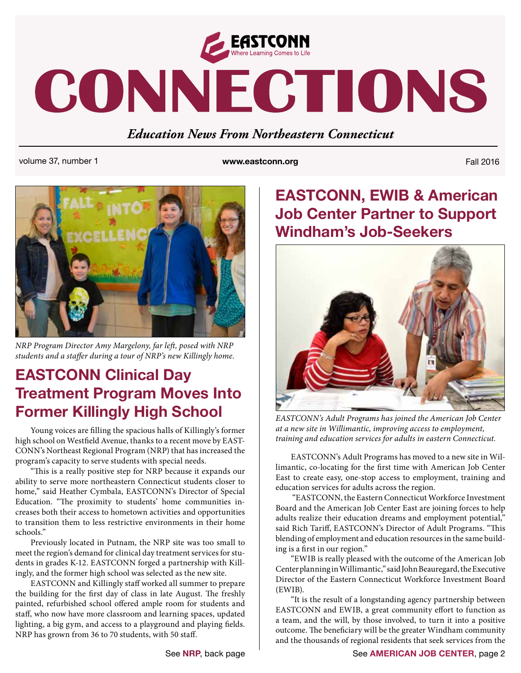

# CONNECTIONS

*Education News From Northeastern Connecticut*

volume 37, number 1 **www.eastconn.org** Fall 2016



*NRP Program Director Amy Margelony, far le*!*, posed with NRP students and a sta*"*er during a tour of NRP's new Killingly home.* 

## **EASTCONN Clinical Day Treatment Program Moves Into Former Killingly High School**

Young voices are filling the spacious halls of Killingly's former high school on Westfield Avenue, thanks to a recent move by EAST-CONN's Northeast Regional Program (NRP) that has increased the program's capacity to serve students with special needs.

"This is a really positive step for NRP because it expands our ability to serve more northeastern Connecticut students closer to home," said Heather Cymbala, EASTCONN's Director of Special Education. "The proximity to students' home communities increases both their access to hometown activities and opportunities to transition them to less restrictive environments in their home schools."

Previously located in Putnam, the NRP site was too small to meet the region's demand for clinical day treatment services for students in grades K-12. EASTCONN forged a partnership with Killingly, and the former high school was selected as the new site.

EASTCONN and Killingly staff worked all summer to prepare the building for the first day of class in late August. The freshly painted, refurbished school offered ample room for students and staff, who now have more classroom and learning spaces, updated lighting, a big gym, and access to a playground and playing fields. NRP has grown from 36 to 70 students, with 50 staff.

## **EASTCONN, EWIB & American Job Center Partner to Support Windham's Job-Seekers**



*EASTCONN's Adult Programs has joined the American Job Center at a new site in Willimantic, improving access to employment, training and education services for adults in eastern Connecticut.*

EASTCONN's Adult Programs has moved to a new site in Willimantic, co-locating for the first time with American Job Center East to create easy, one-stop access to employment, training and education services for adults across the region.

 "EASTCONN, the Eastern Connecticut Workforce Investment Board and the American Job Center East are joining forces to help adults realize their education dreams and employment potential," said Rich Tariff, EASTCONN's Director of Adult Programs. "This blending of employment and education resources in the same building is a first in our region."

"EWIB is really pleased with the outcome of the American Job Center planning in Willimantic," said John Beauregard, the Executive Director of the Eastern Connecticut Workforce Investment Board (EWIB).

"It is the result of a longstanding agency partnership between EASTCONN and EWIB, a great community effort to function as a team, and the will, by those involved, to turn it into a positive outcome. The beneficiary will be the greater Windham community and the thousands of regional residents that seek services from the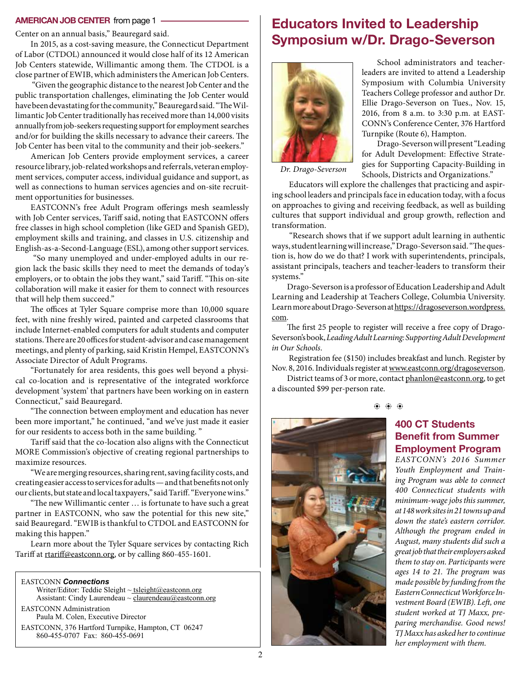#### **AMERICAN JOB CENTER** from page 1

Center on an annual basis," Beauregard said.

In 2015, as a cost-saving measure, the Connecticut Department of Labor (CTDOL) announced it would close half of its 12 American Job Centers statewide, Willimantic among them. The CTDOL is a close partner of EWIB, which administers the American Job Centers.

"Given the geographic distance to the nearest Job Center and the public transportation challenges, eliminating the Job Center would have been devastating for the community," Beauregard said. "The Willimantic Job Center traditionally has received more than 14,000 visits annually from job-seekers requesting support for employment searches and/or for building the skills necessary to advance their careers. The Job Center has been vital to the community and their job-seekers."

American Job Centers provide employment services, a career resource library, job-related workshops and referrals, veteran employment services, computer access, individual guidance and support, as well as connections to human services agencies and on-site recruitment opportunities for businesses.

EASTCONN's free Adult Program offerings mesh seamlessly with Job Center services, Tariff said, noting that EASTCONN offers free classes in high school completion (like GED and Spanish GED), employment skills and training, and classes in U.S. citizenship and English-as-a-Second-Language (ESL), among other support services.

 "So many unemployed and under-employed adults in our region lack the basic skills they need to meet the demands of today's employers, or to obtain the jobs they want," said Tariff. "This on-site collaboration will make it easier for them to connect with resources that will help them succeed."

The offices at Tyler Square comprise more than 10,000 square feet, with nine freshly wired, painted and carpeted classrooms that include Internet-enabled computers for adult students and computer stations. There are 20 offices for student-advisor and case management meetings, and plenty of parking, said Kristin Hempel, EASTCONN's Associate Director of Adult Programs.

"Fortunately for area residents, this goes well beyond a physical co-location and is representative of the integrated workforce development 'system' that partners have been working on in eastern Connecticut," said Beauregard.

"The connection between employment and education has never been more important," he continued, "and we've just made it easier for our residents to access both in the same building. "

Tariff said that the co-location also aligns with the Connecticut MORE Commission's objective of creating regional partnerships to maximize resources.

"We are merging resources, sharing rent, saving facility costs, and creating easier access to services for adults — and that benefits not only our clients, but state and local taxpayers," said Tariff. "Everyone wins."

"The new Willimantic center ... is fortunate to have such a great partner in EASTCONN, who saw the potential for this new site," said Beauregard."EWIB is thankful to CTDOL and EASTCONN for making this happen."

Learn more about the Tyler Square services by contacting Rich Tariff at rtariff[@eastconn.org](mailto:rtariff@eastconn.org), or by calling 860-455-1601.

EASTCONN *Connections* 

Writer/Editor: Teddie Sleight ~ tsleigh[t@eastconn.org](mailto:tsleight@eastconn.org) Assistant: Cindy Laurendeau  $\sim$  claurendeau $@$ eastconn.org EASTCONN Administration Paula M. Colen, Executive Director

EASTCONN, 376 Hartford Turnpike, Hampton, CT 06247 860-455-0707 Fax: 860-455-0691

## **Educators Invited to Leadership Symposium w/Dr. Drago-Severson**



School administrators and teacherleaders are invited to attend a Leadership Symposium with Columbia University Teachers College professor and author Dr. Ellie Drago-Severson on Tues., Nov. 15, 2016, from 8 a.m. to 3:30 p.m. at EAST-CONN's Conference Center, 376 Hartford Turnpike (Route 6), Hampton.

Drago-Severson will present "Leading for Adult Development: Effective Strategies for Supporting Capacity-Building in Schools, Districts and Organizations."

*Dr. Drago-Severson*

 Educators will explore the challenges that practicing and aspiring school leaders and principals face in education today, with a focus on approaches to giving and receiving feedback, as well as building cultures that support individual and group growth, reflection and transformation.

 "Research shows that if we support adult learning in authentic ways, student learning will increase," Drago-Severson said. "The question is, how do we do that? I work with superintendents, principals, assistant principals, teachers and teacher-leaders to transform their systems."

Drago-Severson is a professor of Education Leadership and Adult Learning and Leadership at Teachers College, Columbia University. Learn more about Drago-Severson at [https://dragoseverson.wordpress.](https://dragoseverson.wordpress.com) [com.](https://dragoseverson.wordpress.com)

The first 25 people to register will receive a free copy of Drago-Severson's book, *Leading Adult Learning: Supporting Adult Development in Our Schools*.

 Registration fee (\$150) includes breakfast and lunch. Register by Nov. 8, 2016. Individuals register at [www.eastconn.org/dragoseverson.](http://www.eastconn.org/dragoseverson)

District teams of 3 or more, contact [phanlon@eastconn.org](mailto:phanlon@eastconn.org), to get a discounted \$99 per-person rate.



### **400 CT Students Benefit from Summer Employment Program**

*EASTCONN's 2016 Summer Youth Employment and Training Program was able to connect 400 Connecticut students with minimum-wage jobs this summer, at 148 work sites in 21 towns up and down the state's eastern corridor. Although the program ended in August, many students did such a great job that their employers asked them to stay on. Participants were ages 14 to 21.* #*e program was made possible by funding from the Eastern Connecticut Workforce Investment Board (EWIB). Left, one student worked at TJ Maxx, preparing merchandise. Good news! TJ Maxx has asked her to continue her employment with them.*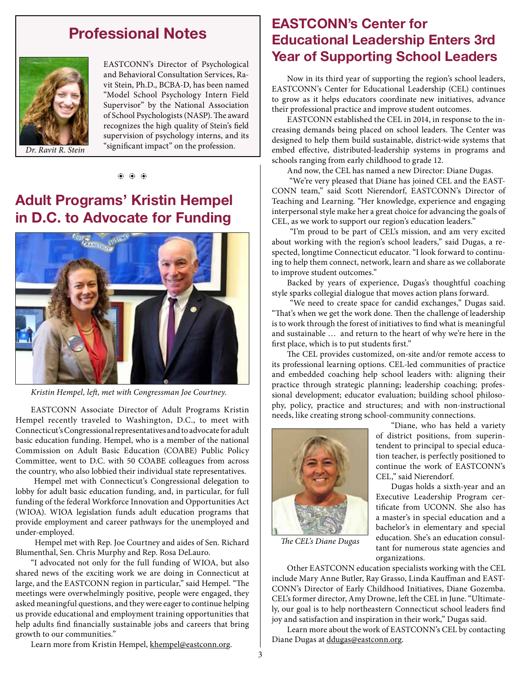## **Professional Notes**



EASTCONN's Director of Psychological and Behavioral Consultation Services, Ravit Stein, Ph.D., BCBA-D, has been named "Model School Psychology Intern Field Supervisor" by the National Association of School Psychologists (NASP). The award recognizes the high quality of Stein's field supervision of psychology interns, and its Dr. Ravit R. Stein significant impact" on the profession.

#### $\langle \hat{\bullet} \rangle$   $\langle \hat{\bullet} \rangle$   $\langle \hat{\bullet} \rangle$

## **Adult Programs' Kristin Hempel in D.C. to Advocate for Funding**



*Kristin Hempel, le*!*, met with Congressman Joe Courtney.*

EASTCONN Associate Director of Adult Programs Kristin Hempel recently traveled to Washington, D.C., to meet with Connecticut's Congressional representatives and to advocate for adult basic education funding. Hempel, who is a member of the national Commission on Adult Basic Education (COABE) Public Policy Committee, went to D.C. with 50 COABE colleagues from across the country, who also lobbied their individual state representatives.

 Hempel met with Connecticut's Congressional delegation to lobby for adult basic education funding, and, in particular, for full funding of the federal Workforce Innovation and Opportunities Act (WIOA). WIOA legislation funds adult education programs that provide employment and career pathways for the unemployed and under-employed.

 Hempel met with Rep. Joe Courtney and aides of Sen. Richard Blumenthal, Sen. Chris Murphy and Rep. Rosa DeLauro.

"I advocated not only for the full funding of WIOA, but also shared news of the exciting work we are doing in Connecticut at large, and the EASTCONN region in particular," said Hempel. "The meetings were overwhelmingly positive, people were engaged, they asked meaningful questions, and they were eager to continue helping us provide educational and employment training opportunities that help adults find financially sustainable jobs and careers that bring growth to our communities."

Learn more from Kristin Hempel, khempel@eastconn.org.

## **EASTCONN's Center for Educational Leadership Enters 3rd Year of Supporting School Leaders**

Now in its third year of supporting the region's school leaders, EASTCONN's Center for Educational Leadership (CEL) continues to grow as it helps educators coordinate new initiatives, advance their professional practice and improve student outcomes.

EASTCONN established the CEL in 2014, in response to the increasing demands being placed on school leaders. The Center was designed to help them build sustainable, district-wide systems that embed effective, distributed-leadership systems in programs and schools ranging from early childhood to grade 12.

And now, the CEL has named a new Director: Diane Dugas.

 "We're very pleased that Diane has joined CEL and the EAST-CONN team," said Scott Nierendorf, EASTCONN's Director of Teaching and Learning. "Her knowledge, experience and engaging interpersonal style make her a great choice for advancing the goals of CEL, as we work to support our region's education leaders."

 "I'm proud to be part of CEL's mission, and am very excited about working with the region's school leaders," said Dugas, a respected, longtime Connecticut educator. "I look forward to continuing to help them connect, network, learn and share as we collaborate to improve student outcomes."

Backed by years of experience, Dugas's thoughtful coaching style sparks collegial dialogue that moves action plans forward.

 "We need to create space for candid exchanges," Dugas said. "That's when we get the work done. Then the challenge of leadership is to work through the forest of initiatives to find what is meaningful and sustainable … and return to the heart of why we're here in the first place, which is to put students first."

The CEL provides customized, on-site and/or remote access to its professional learning options. CEL-led communities of practice and embedded coaching help school leaders with: aligning their practice through strategic planning; leadership coaching; professional development; educator evaluation; building school philosophy, policy, practice and structures; and with non-instructional needs, like creating strong school-community connections.



"Diane, who has held a variety of district positions, from superintendent to principal to special education teacher, is perfectly positioned to continue the work of EASTCONN's CEL," said Nierendorf.

Dugas holds a sixth-year and an Executive Leadership Program certificate from UCONN. She also has a master's in special education and a bachelor's in elementary and special education. She's an education consultant for numerous state agencies and organizations.

#*e CEL's Diane Dugas*

Other EASTCONN education specialists working with the CEL include Mary Anne Butler, Ray Grasso, Linda Kauffman and EAST-CONN's Director of Early Childhood Initiatives, Diane Gozemba. CEL's former director, Amy Drowne, left the CEL in June. "Ultimately, our goal is to help northeastern Connecticut school leaders find joy and satisfaction and inspiration in their work," Dugas said.

Learn more about the work of EASTCONN's CEL by contacting Diane Dugas at ddugas@eastconn.org.

3